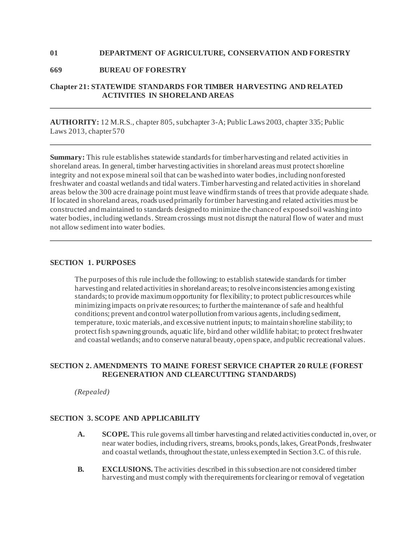### **01 DEPARTMENT OF AGRICULTURE, CONSERVATION AND FORESTRY**

## **669 BUREAU OF FORESTRY**

# **Chapter 21: STATEWIDE STANDARDS FOR TIMBER HARVESTING AND RELATED ACTIVITIES IN SHORELAND AREAS**

**AUTHORITY:** 12 M.R.S., chapter 805, subchapter 3-A; Public Laws 2003, chapter 335; Public Laws 2013, chapter 570

**Summary:** This rule establishes statewide standards for timber harvesting and related activities in shoreland areas. In general, timber harvesting activities in shoreland areas must protect shoreline integrity and not expose mineral soil that can be washed into water bodies, including nonforested freshwater and coastal wetlands and tidal waters. Timber harvesting and related activities in shoreland areas below the 300 acre drainage point must leave windfirm stands of trees that provide adequate shade. If located in shoreland areas, roads used primarily for timber harvesting and related activities must be constructed and maintained to standards designed to minimize the chance of exposed soil washing into water bodies, including wetlands. Stream crossings must not disrupt the natural flow of water and must not allow sediment into water bodies.

#### **SECTION 1. PURPOSES**

The purposes of this rule include the following: to establish statewide standards for timber harvesting and related activities in shoreland areas; to resolve inconsistencies among existing standards; to provide maximum opportunity for flexibility; to protect public resources while minimizing impacts on private resources; to further the maintenance of safe and healthful conditions; prevent and control water pollution from various agents, including sediment, temperature, toxic materials, and excessive nutrient inputs; to maintain shoreline stability; to protect fish spawning grounds, aquatic life, bird and other wildlife habitat; to protect freshwater and coastal wetlands; and to conserve natural beauty, open space, and public recreational values.

# **SECTION 2. AMENDMENTS TO MAINE FOREST SERVICE CHAPTER 20 RULE (FOREST REGENERATION AND CLEARCUTTING STANDARDS)**

*(Repealed)* 

# **SECTION 3. SCOPE AND APPLICABILITY**

- **A. SCOPE.** This rule governs all timber harvesting and related activities conducted in, over, or near water bodies, including rivers, streams, brooks, ponds, lakes, Great Ponds, freshwater and coastal wetlands, throughout the state, unless exempted in Section 3.C. of this rule.
- **B. EXCLUSIONS.** The activities described in this subsection are not considered timber harvesting and must comply with the requirements for clearing or removal of vegetation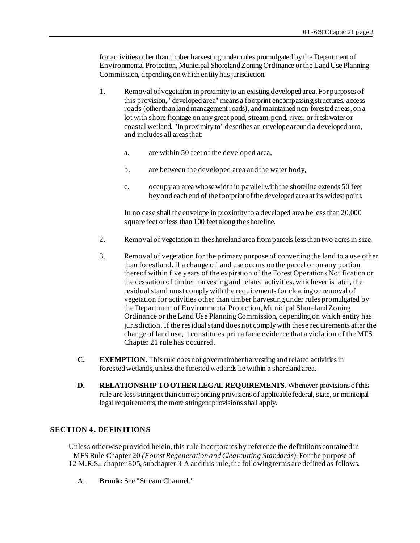for activities other than timber harvesting under rules promulgated by the Department of Environmental Protection, Municipal Shoreland Zoning Ordinance or the Land Use Planning Commission, depending on which entity has jurisdiction.

- 1. Removal of vegetation in proximity to an existing developed area. For purposes of this provision, "developed area" means a footprint encompassing structures, access roads (other than land management roads), and maintained non-forested areas, on a lot with shore frontage on any great pond, stream, pond, river, or freshwater or coastal wetland. "In proximity to" describes an envelope around a developed area, and includes all areas that:
	- a. are within 50 feet of the developed area,
	- b. are between the developed area and the water body,
	- c. occupy an area whose width in parallel with the shoreline extends 50 feet beyond each end of the footprint of the developed area at its widest point.

In no case shall the envelope in proximity to a developed area be less than 20,000 square feet or less than 100 feet along the shoreline.

- 2. Removal of vegetation in the shoreland area from parcels less than two acres in size.
- 3. Removal of vegetation for the primary purpose of converting the land to a use other than forestland. If a change of land use occurs on the parcel or on any portion thereof within five years of the expiration of the Forest Operations Notification or the cessation of timber harvesting and related activities, whichever is later, the residual stand must comply with the requirements for clearing or removal of vegetation for activities other than timber harvesting under rules promulgated by the Department of Environmental Protection, Municipal Shoreland Zoning Ordinance or the Land Use Planning Commission, depending on which entity has jurisdiction. If the residual stand does not comply with these requirements after the change of land use, it constitutes prima facie evidence that a violation of the MFS Chapter 21 rule has occurred.
- **C. EXEMPTION.** This rule does not govern timber harvesting and related activities in forested wetlands, unless the forested wetlands lie within a shoreland area.
- **D. RELATIONSHIP TO OTHER LEGAL REQUIREMENTS.** Whenever provisions of this rule are less stringent than corresponding provisions of applicable federal, state, or municipal legal requirements, the more stringent provisions shall apply.

# **SECTION 4 . DEFINITIONS**

Unless otherwise provided herein, this rule incorporates by reference the definitions contained in MFS Rule Chapter 20 *(Forest Regeneration and Clearcutting Standards).* For the purpose of 12 M.R.S., chapter 805, subchapter 3-A and this rule, the following terms are defined as follows.

A. **Brook:** See "Stream Channel."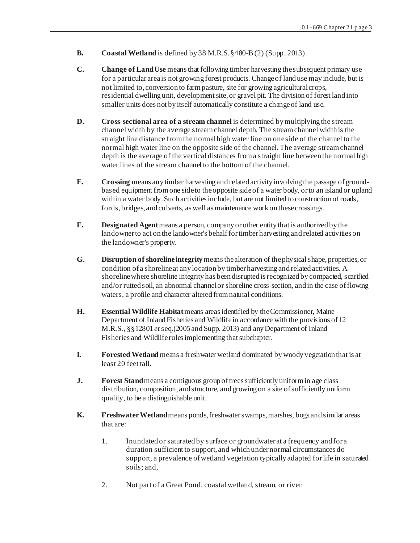- **B. Coastal Wetland** is defined by 38 M.R.S. §480-B (2) (Supp. 2013).
- **C. Change of Land Use** means that following timber harvesting the subsequent primary use for a particular area is not growing forest products. Change of land use may include, but is not limited to, conversion to farm pasture, site for growing agricultural crops, residential dwelling unit, development site, or gravel pit. The division of forest land into smaller units does not by itself automatically constitute a change of land use.
- **D. Cross-sectional area of a stream channel** is determined by multiplying the stream channel width by the average stream channel depth. The stream channel width is the straight line distance from the normal high water line on one side of the channel to the normal high water line on the opposite side of the channel. The average stream channel depth is the average of the vertical distances from a straight line between the normal high water lines of the stream channel to the bottom of the channel.
- **E. Crossing** means any timber harvesting and related activity involving the passage of groundbased equipment from one side to the opposite side of a water body, or to an island or upland within a water body. Such activities include, but are not limited to construction of roads, fords, bridges, and culverts, as well as maintenance work on these crossings.
- **F. Designated Agent** means a person, company or other entity that is authorized by the landowner to act on the landowner's behalf for timber harvesting and related activities on the landowner's property.
- **G. Disruption of shoreline integrity** means the alteration of the physical shape, properties, or condition of a shoreline at any location by timber harvesting and related activities. A shoreline where shoreline integrity has been disrupted is recognized by compacted, scarified and/or rutted soil, an abnormal channel or shoreline cross-section, and in the case of flowing waters, a profile and character altered from natural conditions.
- **H. Essential Wildlife Habitat** means areas identified by the Commissioner, Maine Department of Inland Fisheries and Wildlife in accordance with the provisions of 12 M.R.S., §§12801 *et* seq.(2005 and Supp. 2013) and any Department of Inland Fisheries and Wildlife rules implementing that subchapter.
- **I. Forested Wetland** means a freshwater wetland dominated by woody vegetation that is at least 20 feet tall.
- **J. Forest Stand** means a contiguous group of trees sufficiently uniform in age class distribution, composition, and structure, and growing on a site of sufficiently uniform quality, to be a distinguishable unit.
- **K. Freshwater Wetland** means ponds, freshwater swamps, marshes, bogs and similar areas that are:
	- 1. Inundated or saturated by surface or groundwater at a frequency and for a duration sufficient to support, and which under normal circumstances do support, a prevalence of wetland vegetation typically adapted for life in saturated soils; and,
	- 2. Not part of a Great Pond, coastal wetland, stream, or river.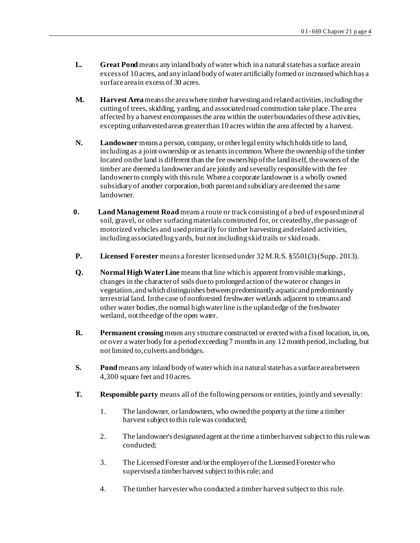- **L. Great Pond** means any inland body of water which in a natural state has a surface area in excess of 10 acres, and any inland body of water artificially formed or increased which has a surface area in excess of 30 acres.
- **M. Harvest Area** means the area where timber harvesting and related activities, including the cutting of trees, skidding, yarding, and associated road construction take place. The area affected by a harvest encompasses the area within the outer boundaries of these activities, excepting unharvested areas greater than 10 acres within the area affected by a harvest.
- **N. Landowner** means a person, company, or other legal entity which holds title to land, including as a joint ownership or as tenants in common. Where the ownership of the timber located on the land is different than the fee ownership of the land itself, the owners of the timber are deemed a landowner and are jointly and severally responsible with the fee landowner to comply with this rule. Where a corporate landowner is a wholly owned subsidiary of another corporation, both parent and subsidiary are deemed the same landowner.
- **0. Land Management Road** means a route or track consisting of a bed of exposed mineral soil, gravel, or other surfacing materials constructed for, or created by, the passage of motorized vehicles and used primarily for timber harvesting and related activities, including associated log yards, but not including skid trails or skid roads.
- **P. Licensed Forester** means a forester licensed under 32 M.R.S. §5501(3) (Supp. 2013).
- **Q. Normal High Water Line** means that line which is apparent from visible markings, changes in the character of soils due to prolonged action of the water or changes in vegetation, and which distinguishes between predominantly aquatic and predominantly terrestrial land. In the case of nonforested freshwater wetlands adjacent to streams and other water bodies, the normal high water line is the upland edge of the freshwater wetland, not the edge of the open water.
- **R. Permanent crossing** means any structure constructed or erected with a fixed location, in, on, or over a water body for a period exceeding 7 months in any 12 month period, including, but not limited to, culverts and bridges.
- **S. Pond** means any inland body of water which in a natural state has a surface area between 4,300 square feet and 10 acres.
- **T. Responsible party** means all of the following persons or entities, jointly and severally:
	- 1. The landowner, or landowners, who owned the property at the time a timber harvest subject to this rule was conducted;
	- 2. The landowner's designated agent at the time a timber harvest subject to this rule was conducted;
	- 3. The Licensed Forester and/or the employer of the Licensed Forester who supervised a timber harvest subject to this rule; and
	- 4. The timber harvester who conducted a timber harvest subject to this rule.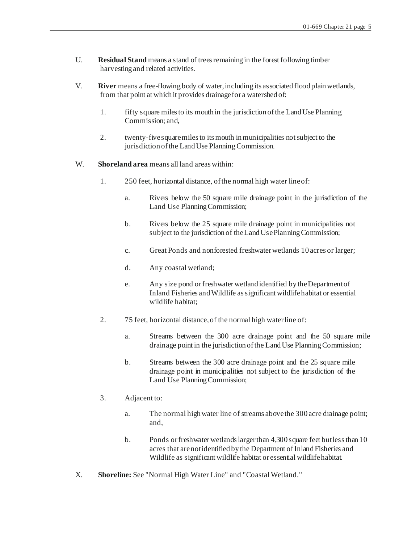- U. **Residual Stand** means a stand of trees remaining in the forest following timber harvesting and related activities.
- V. **River** means a free-flowing body of water, including its associated flood plain wetlands, from that point at which it provides drainage for a watershed of:
	- 1. fifty square miles to its mouth in the jurisdiction of the Land Use Planning Commission; and,
	- 2. twenty-five square miles to its mouth in municipalities not subject to the jurisdiction of the Land Use Planning Commission.
- W. **Shoreland area** means all land areas within:
	- 1. 250 feet, horizontal distance, of the normal high water line of:
		- a. Rivers below the 50 square mile drainage point in the jurisdiction of the Land Use Planning Commission;
		- b. Rivers below the 25 square mile drainage point in municipalities not subject to the jurisdiction of the Land Use Planning Commission;
		- c. Great Ponds and nonforested freshwater wetlands 10 acres or larger;
		- d. Any coastal wetland;
		- e. Any size pond or freshwater wetland identified by the Department of Inland Fisheries and Wildlife as significant wildlife habitat or essential wildlife habitat;
	- 2. 75 feet, horizontal distance, of the normal high water line of:
		- a. Streams between the 300 acre drainage point and the 50 square mile drainage point in the jurisdiction of the Land Use Planning Commission;
		- b. Streams between the 300 acre drainage point and the 25 square mile drainage point in municipalities not subject to the jurisdiction of the Land Use Planning Commission;
	- 3. Adjacent to:
		- a. The normal high water line of streams above the 300 acre drainage point; and,
		- b. Ponds or freshwater wetlands larger than 4,300 square feet but less than 10 acres that are not identified by the Department of Inland Fisheries and Wildlife as significant wildlife habitat or essential wildlife habitat.
- X. **Shoreline:** See "Normal High Water Line" and "Coastal Wetland."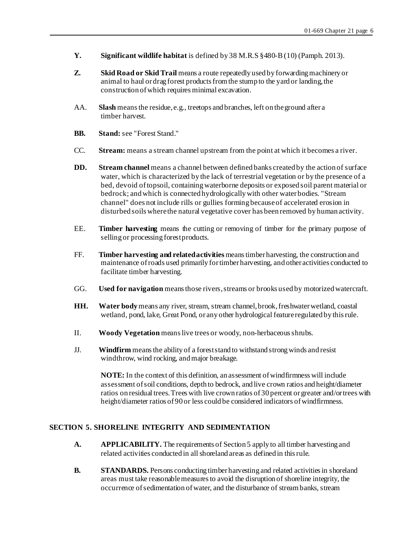- **Y. Significant wildlife habitat** is defined by 38 M.R.S §480-B (10) (Pamph. 2013).
- **Z. Skid Road or Skid Trail** means a route repeatedly used by forwarding machinery or animal to haul or drag forest products from the stump to the yard or landing, the construction of which requires minimal excavation.
- AA. **Slash** means the residue, e.g., treetops and branches, left on the ground after a timber harvest.
- **BB.** Stand: see "Forest Stand."
- CC. **Stream:** means a stream channel upstream from the point at which it becomes a river.
- **DD. Stream channel** means a channel between defined banks created by the action of surface water, which is characterized by the lack of terrestrial vegetation or by the presence of a bed, devoid of topsoil, containing waterborne deposits or exposed soil parent material or bedrock; and which is connected hydrologically with other water bodies. "Stream channel" does not include rills or gullies forming because of accelerated erosion in disturbed soils where the natural vegetative cover has been removed by human activity.
- EE. **Timber harvesting** means the cutting or removing of timber for the primary purpose of selling or processing forest products.
- FF. **Timber harvesting and related activities** means timber harvesting, the construction and maintenance of roads used primarily for timber harvesting, and other activities conducted to facilitate timber harvesting.
- GG. **Used for navigation** means those rivers, streams or brooks used by motorized watercraft.
- **HH. Water body** means any river, stream, stream channel, brook, freshwater wetland, coastal wetland, pond, lake, Great Pond, or any other hydrological feature regulated by this rule.
- II. **Woody Vegetation** means live trees or woody, non-herbaceous shrubs.
- JJ. **Windfirm** means the ability of a forest stand to withstand strong winds and resist windthrow, wind rocking, and major breakage.

**NOTE:** In the context of this definition, an assessment of windfirmness will include assessment of soil conditions, depth to bedrock, and live crown ratios and height/diameter ratios on residual trees. Trees with live crown ratios of 30 percent or greater and/or trees with height/diameter ratios of 90 or less could be considered indicators of windfirmness.

# **SECTION 5. SHORELINE INTEGRITY AND SEDIMENTATION**

- **A. APPLICABILITY.** The requirements of Section 5 apply to all timber harvesting and related activities conducted in all shoreland areas as defined in this rule.
- **B. STANDARDS.** Persons conducting timber harvesting and related activities in shoreland areas must take reasonable measures to avoid the disruption of shoreline integrity, the occurrence of sedimentation of water, and the disturbance of stream banks, stream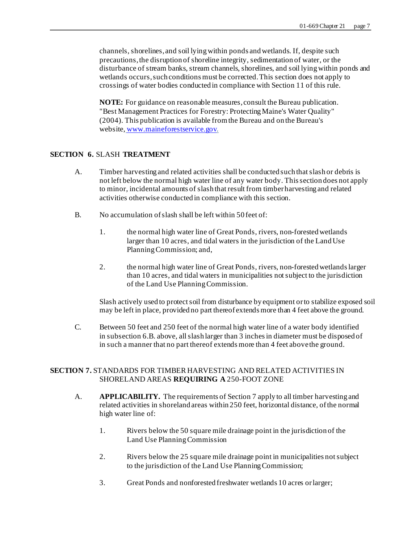channels, shorelines, and soil lying within ponds and wetlands. If, despite such precautions, the disruption of shoreline integrity, sedimentation of water, or the disturbance of stream banks, stream channels, shorelines, and soil lying within ponds and wetlands occurs, such conditions must be corrected. This section does not apply to crossings of water bodies conducted in compliance with Section 11 of this rule.

**NOTE:** For guidance on reasonable measures, consult the Bureau publication. "Best Management Practices for Forestry: Protecting Maine's Water Quality" (2004). This publication is available from the Bureau and on the Bureau's website, www.maineforestservice.gov.

## **SECTION 6.** SLASH **TREATMENT**

- A. Timber harvesting and related activities shall be conducted such that slash or debris is not left below the normal high water line of any water body. This section does not apply to minor, incidental amounts of slash that result from timber harvesting and related activities otherwise conducted in compliance with this section.
- B. No accumulation of slash shall be left within 50 feet of:
	- 1. the normal high water line of Great Ponds, rivers, non-forested wetlands larger than 10 acres, and tidal waters in the jurisdiction of the Land Use Planning Commission; and,
	- 2. the normal high water line of Great Ponds, rivers, non-forested wetlands larger than 10 acres, and tidal waters in municipalities not subject to the jurisdiction of the Land Use Planning Commission.

Slash actively used to protect soil from disturbance by equipment or to stabilize exposed soil may be left in place, provided no part thereof extends more than 4 feet above the ground.

C. Between 50 feet and 250 feet of the normal high water line of a water body identified in subsection 6.B. above, all slash larger than 3 inches in diameter must be disposed of in such a manner that no part thereof extends more than 4 feet above the ground.

# **SECTION 7.** STANDARDS FOR TIMBER HARVESTING AND RELATED ACTIVITIES IN SHORELAND AREAS **REQUIRING A** 250-FOOT ZONE

- A. **APPLICABILITY.** The requirements of Section 7 apply to all timber harvesting and related activities in shoreland areas within 250 feet, horizontal distance, of the normal high water line of:
	- 1. Rivers below the 50 square mile drainage point in the jurisdiction of the Land Use Planning Commission
	- 2. Rivers below the 25 square mile drainage point in municipalities not subject to the jurisdiction of the Land Use Planning Commission;
	- 3. Great Ponds and nonforested freshwater wetlands 10 acres or larger;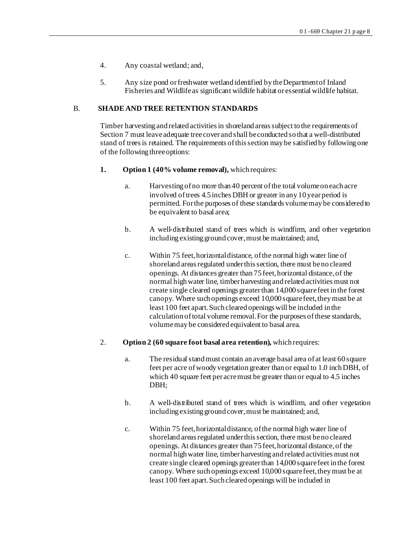- 4. Any coastal wetland; and,
- 5. Any size pond or freshwater wetland identified by the Department of Inland Fisheries and Wildlife as significant wildlife habitat or essential wildlife habitat.

## B. **SHADE AND TREE RETENTION STANDARDS**

Timber harvesting and related activities in shoreland areas subject to the requirements of Section 7 must leave adequate tree cover and shall be conducted so that a well-distributed stand of trees is retained. The requirements of this section may be satisfied by following one of the following three options:

- **1. Option 1 (40% volume removal),** which requires:
	- a. Harvesting of no more than 40 percent of the total volume on each acre involved of trees 4.5 inches DBH or greater in any 10 year period is permitted. For the purposes of these standards volume may be considered to be equivalent to basal area;
	- b. A well-distributed stand of trees which is windfirm, and other vegetation including existing ground cover, must be maintained; and,
	- c. Within 75 feet, horizontal distance, of the normal high water line of shoreland areas regulated under this section, there must be no cleared openings. At distances greater than 75 feet, horizontal distance, of the normal high water line, timber harvesting and related activities must not create single cleared openings greater than 14,000 square feet in the forest canopy. Where such openings exceed 10,000 square feet, they must be at least 100 feet apart. Such cleared openings will be included in the calculation of total volume removal. For the purposes of these standards, volume may be considered equivalent to basal area.
- 2. **Option 2 (60 square foot basal area retention),** which requires:
	- a. The residual stand must contain an average basal area of at least 60 square feet per acre of woody vegetation greater than or equal to 1.0 inch DBH, of which 40 square feet per acremust be greater than or equal to 4.5 inches DBH;
	- b. A well-distributed stand of trees which is windfirm, and other vegetation including existing ground cover, must be maintained; and,
	- c. Within 75 feet, horizontal distance, of the normal high water line of shoreland areas regulated under this section, there must be no cleared openings. At distances greater than 75 feet, horizontal distance, of the normal high water line, timber harvesting and related activities must not create single cleared openings greater than 14,000 square feet in the forest canopy. Where such openings exceed 10,000 square feet, they must be at least 100 feet apart. Such cleared openings will be included in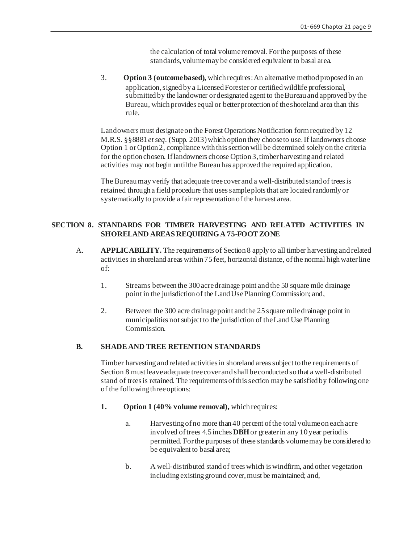the calculation of total volume removal. For the purposes of these standards, volume may be considered equivalent to basal area.

3. **Option 3 (outcome based),** which requires: An alternative method proposed in an application, signed by a Licensed Forester or certified wildlife professional, submitted by the landowner or designated agent to the Bureau and approved by the Bureau, which provides equal or better protection of the shoreland area than this rule.

Landowners must designate on the Forest Operations Notification form required by 12 M.R.S. §§8881 *et seq.* (Supp. 2013) which option they choose to use. If landowners choose Option 1 or Option 2, compliance with this section will be determined solely on the criteria for the option chosen. If landowners choose Option 3, timber harvesting and related activities may not begin until the Bureau has approved the required application.

The Bureau may verify that adequate tree cover and a well-distributed stand of trees is retained through a field procedure that uses sample plots that are located randomly or systematically to provide a fair representation of the harvest area.

## **SECTION 8. STANDARDS FOR TIMBER HARVESTING AND RELATED ACTIVITIES IN SHORELAND AREAS REQUIRING A 75-FOOT ZONE**

- A. **APPLICABILITY.** The requirements of Section 8 apply to all timber harvesting and related activities in shoreland areas within 75 feet, horizontal distance, of the normal high water line of:
	- 1. Streams between the 300 acre drainage point and the 50 square mile drainage point in the jurisdiction of the Land Use Planning Commission; and,
	- 2. Between the 300 acre drainage point and the 25 square mile drainage point in municipalities not subject to the jurisdiction of the Land Use Planning Commission.

## **B. SHADE AND TREE RETENTION STANDARDS**

Timber harvesting and related activities in shoreland areas subject to the requirements of Section 8 must leave adequate tree cover and shall be conducted so that a well-distributed stand of trees is retained. The requirements of this section may be satisfied by following one of the following three options:

- **1. Option 1 (40% volume removal),** which requires:
	- a. Harvesting of no more than 40 percent of the total volume on each acre involved of trees 4.5 inches **DBH** or greater in any 10 year period is permitted. For the purposes of these standards volume may be considered to be equivalent to basal area;
	- b. A well-distributed stand of trees which is windfirm, and other vegetation including existing ground cover, must be maintained; and,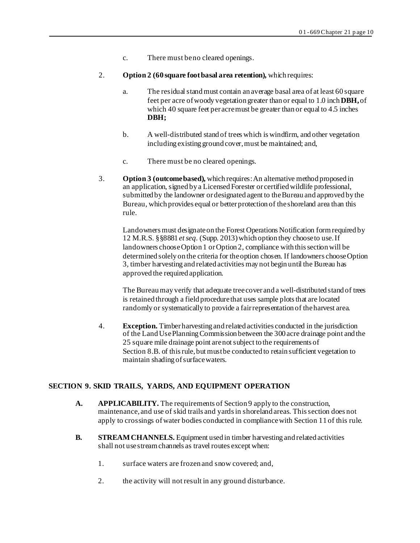- c. There must be no cleared openings.
- 2. **Option 2 (60 square foot basal area retention),** which requires:
	- a. The residual stand must contain an average basal area of at least 60 square feet per acre of woody vegetation greater than or equal to 1.0 inch **DBH,** of which 40 square feet per acre must be greater than or equal to 4.5 inches **DBH;**
	- b. A well-distributed stand of trees which is windfirm, and other vegetation including existing ground cover, must be maintained; and,
	- c. There must be no cleared openings.
- 3. **Option 3 (outcome based),** which requires: An alternative method proposed in an application, signed by a Licensed Forester or certified wildlife professional, submitted by the landowner or designated agent to the Bureau and approved by the Bureau, which provides equal or better protection of the shoreland area than this rule.

Landowners must designate on the Forest Operations Notification form required by 12 M.R.S. §§8881 *et seq.* (Supp. 2013) which option they choose to use. If landowners choose Option 1 or Option 2, compliance with this section will be determined solely on the criteria for the option chosen. If landowners choose Option 3, timber harvesting and related activities may not begin until the Bureau has approved the required application.

The Bureau may verify that adequate tree cover and a well-distributed stand of trees is retained through a field procedure that uses sample plots that are located randomly or systematically to provide a fair representation of the harvest area.

 4. **Exception.** Timber harvesting and related activities conducted in the jurisdiction of the Land Use Planning Commission between the 300 acre drainage point and the 25 square mile drainage point are not subject to the requirements of Section 8.B. of this rule, but must be conducted to retain sufficient vegetation to maintain shading of surface waters.

# **SECTION 9. SKID TRAILS, YARDS, AND EQUIPMENT OPERATION**

- **A. APPLICABILITY.** The requirements of Section 9 apply to the construction, maintenance, and use of skid trails and yards in shoreland areas. This section does not apply to crossings of water bodies conducted in compliance with Section 11 of this rule.
- **B. STREAM CHANNELS.** Equipment used in timber harvesting and related activities shall not use stream channels as travel routes except when:
	- 1. surface waters are frozen and snow covered; and,
	- 2. the activity will not result in any ground disturbance.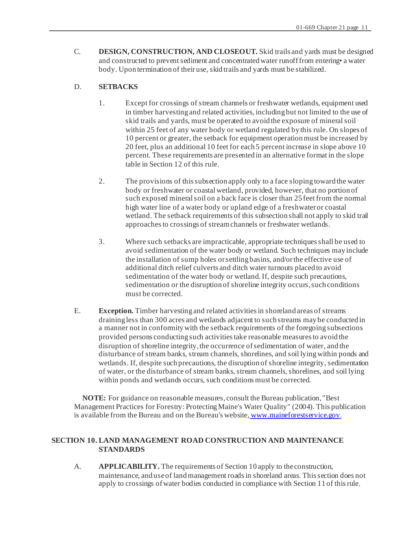C. **DESIGN, CONSTRUCTION, AND CLOSEOUT.** Skid trails and yards must be designed and constructed to prevent sediment and concentrated water runoff from entering• a water body. Upon termination of their use, skid trails and yards must be stabilized.

# D. **SETBACKS**

- 1. Except for crossings of stream channels or freshwater wetlands, equipment used in timber harvesting and related activities, including but not limited to the use of skid trails and yards, must be operated to avoid the exposure of mineral soil within 25 feet of any water body or wetland regulated by this rule. On slopes of 10 percent or greater, the setback for equipment operation must be increased by 20 feet, plus an additional 10 feet for each 5 percent increase in slope above 10 percent. These requirements are presented in an alternative format in the slope table in Section 12 of this rule.
- 2. The provisions of this subsection apply only to a face sloping toward the water body or freshwater or coastal wetland, provided, however, that no portion of such exposed mineral soil on a back face is closer than 25 feet from the normal high water line of a water body or upland edge of a freshwater or coastal wetland. The setback requirements of this subsection shall not apply to skid trail approaches to crossings of stream channels or freshwater wetlands.
- 3. Where such setbacks are impracticable, appropriate techniques shall be used to avoid sedimentation of the water body or wetland. Such techniques may include the installation of sump holes or settling basins, and/or the effective use of additional ditch relief culverts and ditch water turnouts placed to avoid sedimentation of the water body or wetland. If, despite such precautions, sedimentation or the disruption of shoreline integrity occurs, such conditions must be corrected.
- E. **Exception.** Timber harvesting and related activities in shoreland areas of streams draining less than 300 acres and wetlands adjacent to such streams may be conducted in a manner not in conformity with the setback requirements of the foregoing subsections provided persons conducting such activities take reasonable measures to avoid the disruption of shoreline integrity, the occurrence of sedimentation of water, and the disturbance of stream banks, stream channels, shorelines, and soil lying within ponds and wetlands. If, despite such precautions, the disruption of shoreline integrity, sedimentation of water, or the disturbance of stream banks, stream channels, shorelines, and soil lying within ponds and wetlands occurs, such conditions must be corrected.

**NOTE:** For guidance on reasonable measures, consult the Bureau publication, "Best Management Practices for Forestry: Protecting Maine's Water Quality" (2004). This publication is available from the Bureau and on the Bureau's website, www.maineforestservice.gov.

# **SECTION 10. LAND MANAGEMENT ROAD CONSTRUCTION AND MAINTENANCE STANDARDS**

A. **APPLICABILITY.** The requirements of Section 10 apply to the construction, maintenance, and use of land management roads in shoreland areas. This section does not apply to crossings of water bodies conducted in compliance with Section 11 of this rule.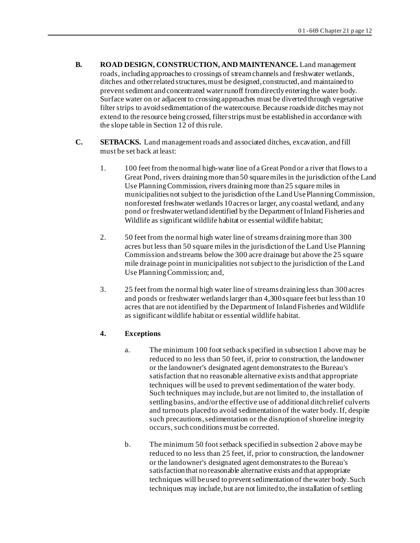- **B. ROAD DESIGN, CONSTRUCTION, AND MAINTENANCE.** Land management roads, including approaches to crossings of stream channels and freshwater wetlands, ditches and other related structures, must be designed, constructed, and maintained to prevent sediment and concentrated water runoff from directly entering the water body. Surface water on or adjacent to crossing approaches must be diverted through vegetative filter strips to avoid sedimentation of the watercourse. Because roadside ditches may not extend to the resource being crossed, filter strips must be established in accordance with the slope table in Section 12 of this rule.
- **C. SETBACKS.** Land management roads and associated ditches, excavation, and fill must be set back at least:
	- 1. 100 feet from the normal high-water line of a Great Pond or a river that flows to a Great Pond, rivers draining more than 50 square miles in the jurisdiction of the Land Use Planning Commission, rivers draining more than 25 square miles in municipalities not subject to the jurisdiction of the Land Use Planning Commission, nonforested freshwater wetlands 10 acres or larger, any coastal wetland, and any pond or freshwater wetland identified by the Department of Inland Fisheries and Wildlife as significant wildlife habitat or essential wildlife habitat;
	- 2. 50 feet from the normal high water line of streams draining more than 300 acres but less than 50 square miles in the jurisdiction of the Land Use Planning Commission and streams below the 300 acre drainage but above the 25 square mile drainage point in municipalities not subject to the jurisdiction of the Land Use Planning Commission; and,
	- 3. 25 feet from the normal high water line of streams draining less than 300 acres and ponds or freshwater wetlands larger than 4,300 square feet but less than 10 acres that are not identified by the Department of Inland Fisheries and Wildlife as significant wildlife habitat or essential wildlife habitat.

# **4. Exceptions**

- a. The minimum 100 foot setback specified in subsection 1 above may be reduced to no less than 50 feet, if, prior to construction, the landowner or the landowner's designated agent demonstrates to the Bureau's satisfaction that no reasonable alternative exists and that appropriate techniques will be used to prevent sedimentation of the water body. Such techniques may include, but are not limited to, the installation of settling basins, and/or the effective use of additional ditch relief culverts and turnouts placed to avoid sedimentation of the water body. If, despite such precautions, sedimentation or the disruption of shoreline integrity occurs, such conditions must be corrected.
- b. The minimum 50 foot setback specified in subsection 2 above may be reduced to no less than 25 feet, if, prior to construction, the landowner or the landowner's designated agent demonstrates to the Bureau's satisfaction that no reasonable alternative exists and that appropriate techniques will be used to prevent sedimentation of the water body. Such techniques may include, but are not limited to, the installation of settling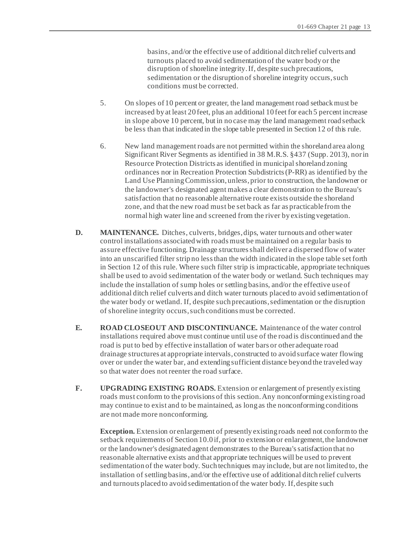basins, and/or the effective use of additional ditch relief culverts and turnouts placed to avoid sedimentation of the water body or the disruption of shoreline integrity. If, despite such precautions, sedimentation or the disruption of shoreline integrity occurs, such conditions must be corrected.

- 5. On slopes of 10 percent or greater, the land management road setback must be increased by at least 20 feet, plus an additional 10 feet for each 5 percent increase in slope above 10 percent, but in no case may the land management road setback be less than that indicated in the slope table presented in Section 12 of this rule.
- 6. New land management roads are not permitted within the shoreland area along Significant River Segments as identified in 38 M.R.S. §437 (Supp. 2013), nor in Resource Protection Districts as identified in municipal shoreland zoning ordinances nor in Recreation Protection Subdistricts (P-RR) as identified by the Land Use Planning Commission, unless, prior to construction, the landowner or the landowner's designated agent makes a clear demonstration to the Bureau's satisfaction that no reasonable alternative route exists outside the shoreland zone, and that the new road must be set back as far as practicable from the normal high water line and screened from the river by existing vegetation.
- **D. MAINTENANCE.** Ditches, culverts, bridges, dips, water turnouts and other water control installations associated with roads must be maintained on a regular basis to assure effective functioning. Drainage structures shall deliver a dispersed flow of water into an unscarified filter strip no less than the width indicated in the slope table set forth in Section 12 of this rule. Where such filter strip is impracticable, appropriate techniques shall be used to avoid sedimentation of the water body or wetland. Such techniques may include the installation of sump holes or settling basins, and/or the effective use of additional ditch relief culverts and ditch water turnouts placed to avoid sedimentation of the water body or wetland. If, despite such precautions, sedimentation or the disruption of shoreline integrity occurs, such conditions must be corrected.
- **E. ROAD CLOSEOUT AND DISCONTINUANCE.** Maintenance of the water control installations required above must continue until use of the road is discontinued and the road is put to bed by effective installation of water bars or other adequate road drainage structures at appropriate intervals, constructed to avoid surface water flowing over or under the water bar, and extending sufficient distance beyond the traveled way so that water does not reenter the road surface.
- **F. UPGRADING EXISTING ROADS.** Extension or enlargement of presently existing roads must conform to the provisions of this section. Any nonconforming existing road may continue to exist and to be maintained, as long as the nonconforming conditions are not made more nonconforming.

**Exception.** Extension or enlargement of presently existing roads need not conform to the setback requirements of Section 10.0 if, prior to extension or enlargement, the landowner or the landowner's designated agent demonstrates to the Bureau's satisfaction that no reasonable alternative exists and that appropriate techniques will be used to prevent sedimentation of the water body. Such techniques may include, but are not limited to, the installation of settling basins, and/or the effective use of additional ditch relief culverts and turnouts placed to avoid sedimentation of the water body. If, despite such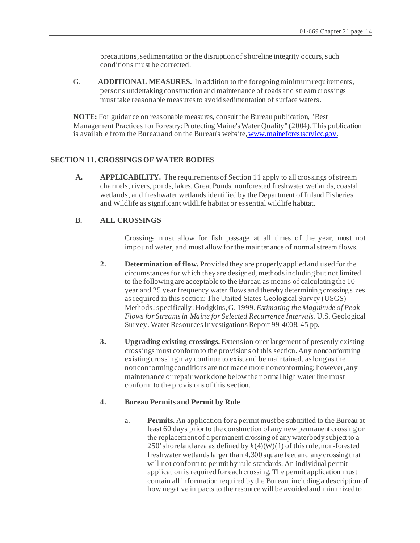precautions, sedimentation or the disruption of shoreline integrity occurs, such conditions must be corrected.

G. **ADDITIONAL MEASURES.** In addition to the foregoing minimum requirements, persons undertaking construction and maintenance of roads and stream crossings must take reasonable measures to avoid sedimentation of surface waters.

**NOTE:** For guidance on reasonable measures, consult the Bureau publication, "Best Management Practices for Forestry: Protecting Maine's Water Quality" (2004). This publication is available from the Bureau and on the Bureau's website,www.maineforestscrvicc.gov.

## **SECTION 11. CROSSINGS OF WATER BODIES**

**A. APPLICABILITY.** The requirements of Section 11 apply to all crossings of stream channels, rivers, ponds, lakes, Great Ponds, nonforested freshwater wetlands, coastal wetlands, and freshwater wetlands identified by the Department of Inland Fisheries and Wildlife as significant wildlife habitat or essential wildlife habitat.

## **B. ALL CROSSINGS**

- 1. Crossings must allow for fish passage at all times of the year, must not impound water, and must allow for the maintenance of normal stream flows.
- **2. Determination of flow.** Provided they are properly applied and used for the circumstances for which they are designed, methods including but not limited to the following are acceptable to the Bureau as means of calculating the 10 year and 25 year frequency water flows and thereby determining crossing sizes as required in this section: The United States Geological Survey (USGS) Methods; specifically: Hodgkins, G. 1999. *Estimating the Magnitude of Peak Flows for Streams in Maine for Selected Recurrence Intervals.* U.S. Geological Survey. Water Resources Investigations Report 99-4008. 45 pp.
- **3. Upgrading existing crossings.** Extension or enlargement of presently existing crossings must conform to the provisions of this section. Any nonconforming existing crossing may continue to exist and be maintained, as long as the nonconforming conditions are not made more nonconforming; however, any maintenance or repair work done below the normal high water line must conform to the provisions of this section.

#### **4. Bureau Permits and Permit by Rule**

a. **Permits.** An application for a permit must be submitted to the Bureau at least 60 days prior to the construction of any new permanent crossing or the replacement of a permanent crossing of any waterbody subject to a 250' shoreland area as defined by  $\S(4)(W)(1)$  of this rule, non-forested freshwater wetlands larger than 4,300 square feet and any crossing that will not conform to permit by rule standards. An individual permit application is required for each crossing. The permit application must contain all information required by the Bureau, including a description of how negative impacts to the resource will be avoided and minimized to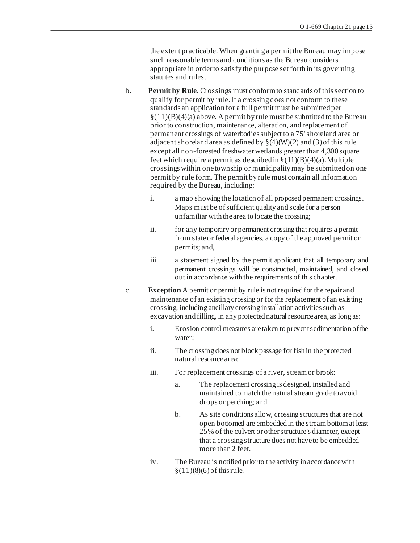the extent practicable. When granting a permit the Bureau may impose such reasonable terms and conditions as the Bureau considers appropriate in order to satisfy the purpose set forth in its governing statutes and rules.

- b. **Permit by Rule.** Crossings must conform to standards of this section to qualify for permit by rule. If a crossing does not conform to these standards an application for a full permit must be submitted per  $\S(11)(B)(4)(a)$  above. A permit by rule must be submitted to the Bureau prior to construction, maintenance, alteration, and replacement of permanent crossings of waterbodies subject to a 75' shoreland area or adjacent shoreland area as defined by  $\S(4)(W)(2)$  and (3) of this rule except all non-forested freshwater wetlands greater than 4,300 square feet which require a permit as described in  $\S(11)(B)(4)(a)$ . Multiple crossings within one township or municipality may be submitted on one permit by rule form. The permit by rule must contain all information required by the Bureau, including:
	- i. a map showing the location of all proposed permanent crossings. Maps must be of sufficient quality and scale for a person unfamiliar with the area to locate the crossing;
	- ii. for any temporary or permanent crossing that requires a permit from state or federal agencies, a copy of the approved permit or permits; and,
	- iii. a statement signed by the permit applicant that all temporary and permanent crossings will be constructed, maintained, and closed out in accordance with the requirements of this chapter.
- c. **Exception** A permit or permit by rule is not required for the repair and maintenance of an existing crossing or for the replacement of an existing crossing, including ancillary crossing installation activities such as excavation and filling, in any protected natural resource area, as long as:
	- i. Erosion control measures are taken to prevent sedimentation of the water;
	- ii. The crossing does not block passage for fish in the protected natural resource area;
	- iii. For replacement crossings of a river, stream or brook:
		- a. The replacement crossing is designed, installed and maintained to match the natural stream grade to avoid drops or perching; and
		- b. As site conditions allow, crossing structures that are not open bottomed are embedded in the stream bottom at least 25% of the culvert or other structure's diameter, except that a crossing structure does not have to be embedded more than 2 feet.
	- iv. The Bureau is notified prior to the activity in accordance with  $\S(11)(8)(6)$  of this rule.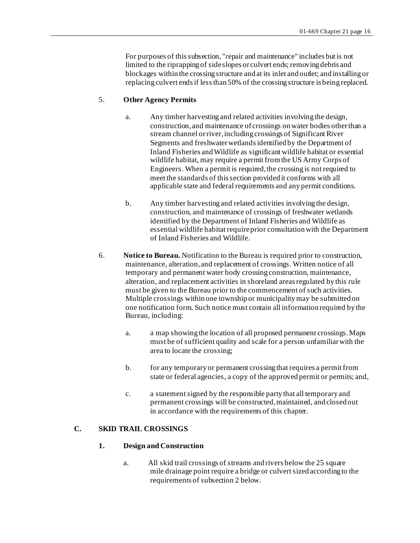For purposes of this subsection, "repair and maintenance" includes but is not limited to the riprapping of side slopes or culvert ends; removing debris and blockages within the crossing structure and at its inlet and outlet; and installing or replacing culvert ends if less than 50% of the crossing structure is being replaced.

## 5. **Other Agency Permits**

- a. Any timber harvesting and related activities involving the design, construction, and maintenance of crossings on water bodies other than a stream channel or river, including crossings of Significant River Segments and freshwater wetlands identified by the Department of Inland Fisheries and Wildlife as significant wildlife habitat or essential wildlife habitat, may require a permit from the US Army Corps of Engineers. When a permit is required, the crossing is not required to meet the standards of this section provided it conforms with all applicable state and federal requirements and any permit conditions.
- b. Any timber harvesting and related activities involving the design, construction, and maintenance of crossings of freshwater wetlands identified by the Department of Inland Fisheries and Wildlife as essential wildlife habitat require prior consultation with the Department of Inland Fisheries and Wildlife.
- 6. **Notice to Bureau.** Notification to the Bureau is required prior to construction, maintenance, alteration, and replacement of crossings. Written notice of all temporary and permanent water body crossing construction, maintenance, alteration, and replacement activities in shoreland areas regulated by this rule must be given to the Bureau prior to the commencement of such activities. Multiple crossings within one township or municipality may be submitted on one notification form. Such notice must contain all information required by the Bureau, including:
	- a. a map showing the location of all proposed permanent crossings. Maps must be of sufficient quality and scale for a person unfamiliar with the area to locate the crossing;
	- b. for any temporary or permanent crossing that requires a permit from state or federal agencies, a copy of the approved permit or permits; and,
	- c. a statement signed by the responsible party that all temporary and permanent crossings will be constructed, maintained, and closed out in accordance with the requirements of this chapter.

#### **C. SKID TRAIL CROSSINGS**

#### **1. Design and Construction**

a. All skid trail crossings of streams and rivers below the 25 square mile drainage point require a bridge or culvert sized according to the requirements of subsection 2 below.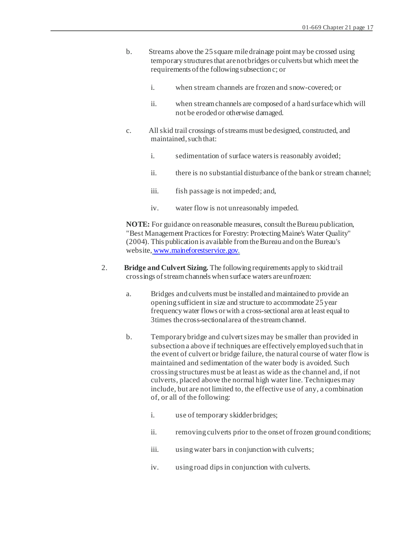- b. Streams above the 25 square mile drainage point may be crossed using temporary structures that are not bridges or culverts but which meet the requirements of the following subsection c; or
	- i. when stream channels are frozen and snow-covered; or
	- ii. when stream channels are composed of a hard surface which will not be eroded or otherwise damaged.
- c. All skid trail crossings of streams must be designed, constructed, and maintained, such that:
	- i. sedimentation of surface waters is reasonably avoided;
	- ii. there is no substantial disturbance of the bank or stream channel;
	- iii. fish passage is not impeded; and,
	- iv. water flow is not unreasonably impeded.

- 2. **Bridge and Culvert Sizing.** The following requirements apply to skid trail crossings of stream channels when surface waters are unfrozen:
	- a. Bridges and culverts must be installed and maintained to provide an opening sufficient in size and structure to accommodate 25 year frequency water flows or with a cross-sectional area at least equal to 3times the cross-sectional area of the stream channel.
	- b. Temporary bridge and culvert sizes may be smaller than provided in subsection a above if techniques are effectively employed such that in the event of culvert or bridge failure, the natural course of water flow is maintained and sedimentation of the water body is avoided. Such crossing structures must be at least as wide as the channel and, if not culverts, placed above the normal high water line. Techniques may include, but are not limited to, the effective use of any, a combination of, or all of the following:
		- i. use of temporary skidder bridges;
		- ii. removing culverts prior to the onset of frozen ground conditions;
		- iii. using water bars in conjunction with culverts;
		- iv. using road dips in conjunction with culverts.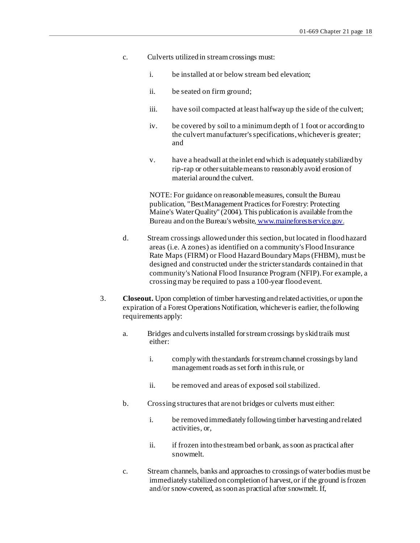- c. Culverts utilized in stream crossings must:
	- i. be installed at or below stream bed elevation;
	- ii. be seated on firm ground;
	- iii. have soil compacted at least halfway up the side of the culvert;
	- iv. be covered by soil to a minimum depth of 1 foot or according to the culvert manufacturer's specifications, whichever is greater; and
	- v. have a headwall at the inlet end which is adequately stabilized by rip-rap or other suitable means to reasonably avoid erosion of material around the culvert.

- d. Stream crossings allowed under this section, but located in flood hazard areas (i.e. A zones) as identified on a community's Flood Insurance Rate Maps (FIRM) or Flood Hazard Boundary Maps (FHBM), must be designed and constructed under the stricter standards contained in that community's National Flood Insurance Program (NFIP). For example, a crossing may be required to pass a 100-year flood event.
- 3. **Closeout.** Upon completion of timber harvesting and related activities, or upon the expiration of a Forest Operations Notification, whichever is earlier, the following requirements apply:
	- a. Bridges and culverts installed for stream crossings by skid trails must either:
		- i. comply with the standards for stream channel crossings by land management roads as set forth in this rule, or
		- ii. be removed and areas of exposed soil stabilized.
	- b. Crossing structures that are not bridges or culverts must either:
		- i. be removed immediately following timber harvesting and related activities, or
		- ii. if frozen into the stream bed or bank, as soon as practical after snowmelt.
	- c. Stream channels, banks and approaches to crossings of water bodies must be immediately stabilized on completion of harvest, or if the ground is frozen and/or snow-covered, as soon as practical after snowmelt. If,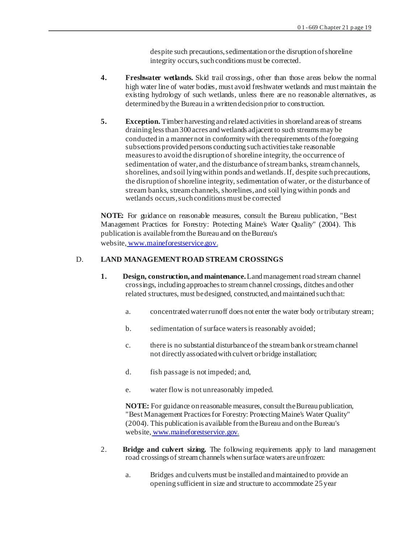despite such precautions, sedimentation or the disruption of shoreline integrity occurs, such conditions must be corrected.

- **4. Freshwater wetlands.** Skid trail crossings, other than those areas below the normal high water line of water bodies, must avoid freshwater wetlands and must maintain the existing hydrology of such wetlands, unless there are no reasonable alternatives, as determined by the Bureau in a written decision prior to construction.
- **5. Exception.** Timber harvesting and related activities in shoreland areas of streams draining less than 300 acres and wetlands adjacent to such streams may be conducted in a manner not in conformity with the requirements of the foregoing subsections provided persons conducting such activities take reasonable measures to avoid the disruption of shoreline integrity, the occurrence of sedimentation of water, and the disturbance of stream banks, stream channels, shorelines, and soil lying within ponds and wetlands. If, despite such precautions, the disruption of shoreline integrity, sedimentation of water, or the disturbance of stream banks, stream channels, shorelines, and soil lying within ponds and wetlands occurs, such conditions must be corrected

**NOTE:** For guidance on reasonable measures, consult the Bureau publication, "Best Management Practices for Forestry: Protecting Maine's Water Quality" (2004). This publication is available from the Bureau and on the Bureau's website, www.maineforestservice.gov.

## D. **LAND MANAGEMENT ROAD STREAM CROSSINGS**

- **1. Design, construction, and maintenance.** Land management road stream channel crossings, including approaches to stream channel crossings, ditches and other related structures, must be designed, constructed, and maintained such that:
	- a. concentrated water runoff does not enter the water body or tributary stream;
	- b. sedimentation of surface waters is reasonably avoided;
	- c. there is no substantial disturbance of the stream bank or stream channel not directly associated with culvert or bridge installation;
	- d. fish passage is not impeded; and,
	- e. water flow is not unreasonably impeded.

- 2. **Bridge and culvert sizing.** The following requirements apply to land management road crossings of stream channels when surface waters are unfrozen:
	- a. Bridges and culverts must be installed and maintained to provide an opening sufficient in size and structure to accommodate 25 year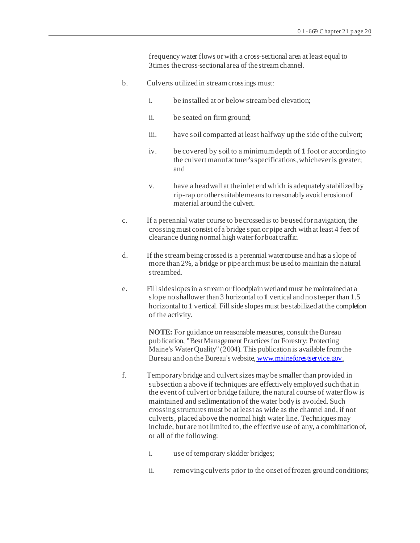frequency water flows or with a cross-sectional area at least equal to 3times the cross-sectional area of the stream channel.

- b. Culverts utilized in stream crossings must:
	- i. be installed at or below stream bed elevation;
	- ii. be seated on firm ground;
	- iii. have soil compacted at least halfway up the side of the culvert;
	- iv. be covered by soil to a minimum depth of **1** foot or according to the culvert manufacturer's specifications, whichever is greater; and
	- v. have a headwall at the inlet end which is adequately stabilized by rip-rap or other suitable means to reasonably avoid erosion of material around the culvert.
- c. If a perennial water course to be crossed is to be used for navigation, the crossing must consist of a bridge span or pipe arch with at least 4 feet of clearance during normal high water for boat traffic.
- d. If the stream being crossed is a perennial watercourse and has a slope of more than 2%, a bridge or pipe arch must be used to maintain the natural streambed.
- e. Fill sideslopes in a stream or floodplain wetland must be maintained at a slope no shallower than 3 horizontal to **1** vertical and no steeper than 1.5 horizontal to 1 vertical. Fill side slopes must be stabilized at the completion of the activity.

- f. Temporary bridge and culvert sizes may be smaller than provided in subsection a above if techniques are effectively employed such that in the event of culvert or bridge failure, the natural course of water flow is maintained and sedimentation of the water body is avoided. Such crossing structures must be at least as wide as the channel and, if not culverts, placed above the normal high water line. Techniques may include, but are not limited to, the effective use of any, a combination of, or all of the following:
	- i. use of temporary skidder bridges;
	- ii. removing culverts prior to the onset of frozen ground conditions;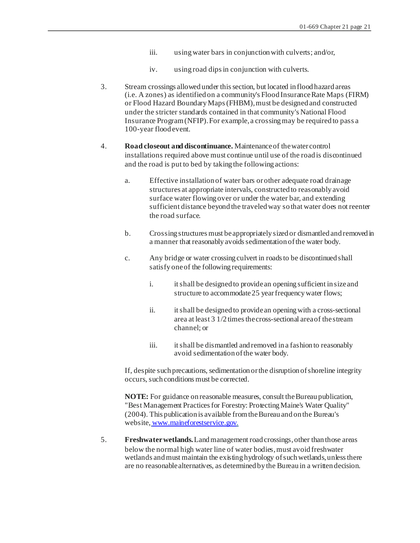- iii. using water bars in conjunction with culverts; and/or,
- iv. using road dips in conjunction with culverts.
- 3. Stream crossings allowed under this section, but located in flood hazard areas (i.e. A zones) as identified on a community's Flood Insurance Rate Maps (FIRM) or Flood Hazard Boundary Maps (FHBM), must be designed and constructed under the stricter standards contained in that community's National Flood Insurance Program (NFIP). For example, a crossing may be required to pass a 100-year flood event.
- 4. **Road closeout and discontinuance.** Maintenance of the water control installations required above must continue until use of the road is discontinued and the road is put to bed by taking the following actions:
	- a. Effective installation of water bars or other adequate road drainage structures at appropriate intervals, constructed to reasonably avoid surface water flowing over or under the water bar, and extending sufficient distance beyond the traveled way so that water does not reenter the road surface.
	- b. Crossing structures must be appropriately sized or dismantled and removed in a manner that reasonably avoids sedimentation of the water body.
	- c. Any bridge or water crossing culvert in roads to be discontinued shall satisfy one of the following requirements:
		- i. it shall be designed to provide an opening sufficient in size and structure to accommodate 25 year frequency water flows;
		- ii. it shall be designed to provide an opening with a cross-sectional area at least 3 1/2 times the cross-sectional area of the stream channel; or
		- iii. it shall be dismantled and removed in a fashion to reasonably avoid sedimentation of the water body.

If, despite such precautions, sedimentation or the disruption of shoreline integrity occurs, such conditions must be corrected.

**NOTE:** For guidance on reasonable measures, consult the Bureau publication, "Best Management Practices for Forestry: Protecting Maine's Water Quality" (2004). This publication is available from the Bureau and on the Bureau's website, www.maineforestservice.gov.

 5. **Freshwater wetlands.** Land management road crossings, other than those areas below the normal high water line of water bodies, must avoid freshwater wetlands and must maintain the existing hydrology of such wetlands, unless there are no reasonable alternatives, as determined by the Bureau in a written decision.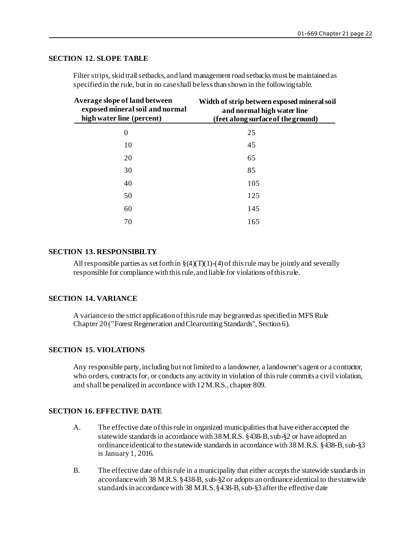### **SECTION 12. SLOPE TABLE**

Filter strips, skid trail setbacks, and land management road setbacks must be maintained as specified in the rule, but in no case shall be less than shown in the following table.

| Average slope of land between<br>exposed mineral soil and normal<br>high water line (percent) | Width of strip between exposed mineral soil<br>and normal high water line<br>(feet along surface of the ground) |
|-----------------------------------------------------------------------------------------------|-----------------------------------------------------------------------------------------------------------------|
| $\theta$                                                                                      | 25                                                                                                              |
| 10                                                                                            | 45                                                                                                              |
| 20                                                                                            | 65                                                                                                              |
| 30                                                                                            | 85                                                                                                              |
| 40                                                                                            | 105                                                                                                             |
| 50                                                                                            | 125                                                                                                             |
| 60                                                                                            | 145                                                                                                             |
| 70                                                                                            | 165                                                                                                             |

#### **SECTION 13. RESPONSIBILTY**

All responsible parties as set forth in  $\S(4)(T)(1)-(4)$  of this rule may be jointly and severally responsible for compliance with this rule, and liable for violations of this rule.

# **SECTION 14. VARIANCE**

A variance to the strict application of this rule may be granted as specified in MFS Rule Chapter 20 ("Forest Regeneration and Clearcutting Standards", Section 6).

#### **SECTION 15. VIOLATIONS**

Any responsible party, including but not limited to a landowner, a landowner's agent or a contractor, who orders, contracts for, or conducts any activity in violation of this rule commits a civil violation, and shall be penalized in accordance with 12 M.R.S., chapter 809.

## **SECTION 16. EFFECTIVE DATE**

- A. The effective date of this rule in organized municipalities that have either accepted the statewide standards in accordance with 38 M.R.S. §438-B, sub-§2 or have adopted an ordinance identical to the statewide standards in accordance with 38 M.R.S. §438-B, sub-§3 is January 1, 2016.
- B. The effective date of this rule in a municipality that either accepts the statewide standards in accordance with 38 M.R.S. §438-B, sub-§2 or adopts an ordinance identical to the statewide standards in accordance with 38 M.R.S. §438-B, sub-§3 after the effective date